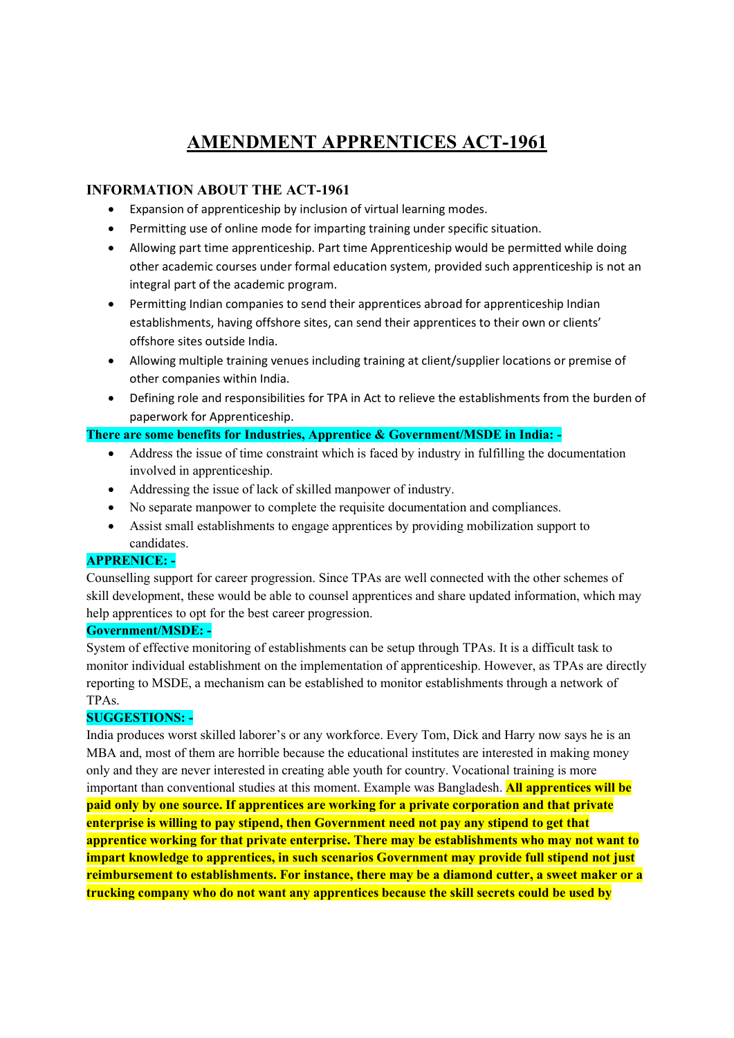# AMENDMENT APPRENTICES ACT-1961

## INFORMATION ABOUT THE ACT-1961

- Expansion of apprenticeship by inclusion of virtual learning modes.
- Permitting use of online mode for imparting training under specific situation.
- Allowing part time apprenticeship. Part time Apprenticeship would be permitted while doing other academic courses under formal education system, provided such apprenticeship is not an integral part of the academic program.
- Permitting Indian companies to send their apprentices abroad for apprenticeship Indian establishments, having offshore sites, can send their apprentices to their own or clients' offshore sites outside India.
- Allowing multiple training venues including training at client/supplier locations or premise of other companies within India.
- Defining role and responsibilities for TPA in Act to relieve the establishments from the burden of paperwork for Apprenticeship.

## There are some benefits for Industries, Apprentice & Government/MSDE in India: -

- Address the issue of time constraint which is faced by industry in fulfilling the documentation involved in apprenticeship.
- Addressing the issue of lack of skilled manpower of industry.
- No separate manpower to complete the requisite documentation and compliances.
- Assist small establishments to engage apprentices by providing mobilization support to candidates.

## APPRENICE: -

Counselling support for career progression. Since TPAs are well connected with the other schemes of skill development, these would be able to counsel apprentices and share updated information, which may help apprentices to opt for the best career progression.

## Government/MSDE: -

System of effective monitoring of establishments can be setup through TPAs. It is a difficult task to monitor individual establishment on the implementation of apprenticeship. However, as TPAs are directly reporting to MSDE, a mechanism can be established to monitor establishments through a network of TPAs.

## SUGGESTIONS: -

India produces worst skilled laborer's or any workforce. Every Tom, Dick and Harry now says he is an MBA and, most of them are horrible because the educational institutes are interested in making money only and they are never interested in creating able youth for country. Vocational training is more important than conventional studies at this moment. Example was Bangladesh. All apprentices will be paid only by one source. If apprentices are working for a private corporation and that private enterprise is willing to pay stipend, then Government need not pay any stipend to get that apprentice working for that private enterprise. There may be establishments who may not want to impart knowledge to apprentices, in such scenarios Government may provide full stipend not just reimbursement to establishments. For instance, there may be a diamond cutter, a sweet maker or a trucking company who do not want any apprentices because the skill secrets could be used by